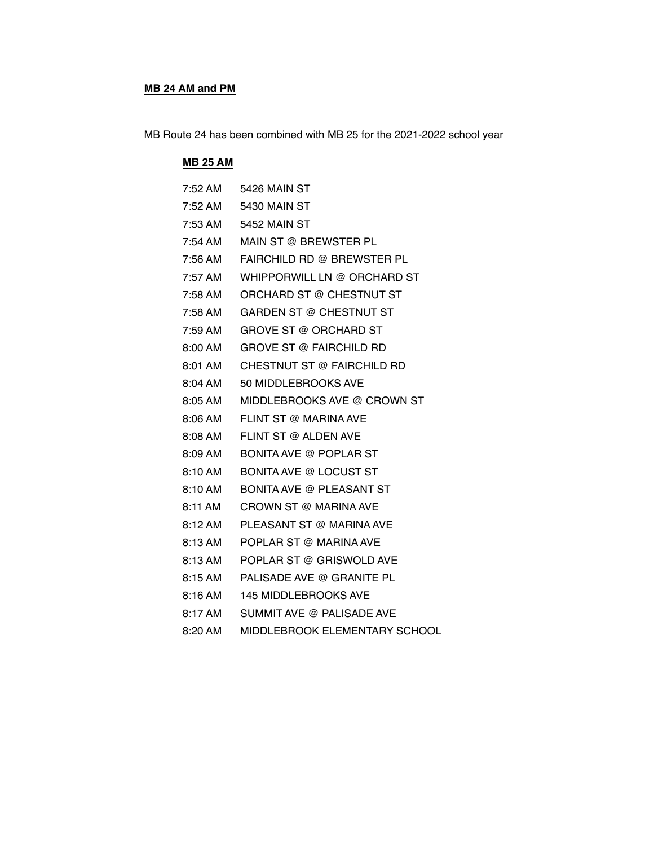#### **MB 24 AM and PM**

MB Route 24 has been combined with MB 25 for the 2021-2022 school year

#### **MB 25 AM**

| 7:52 AM | 5426 MAIN ST                    |
|---------|---------------------------------|
| 7:52 AM | 5430 MAIN ST                    |
| 7:53 AM | 5452 MAIN ST                    |
| 7:54 AM | MAIN ST @ BREWSTER PL           |
| 7:56 AM | FAIRCHILD RD @ BREWSTER PL      |
| 7:57 AM | WHIPPORWILL LN @ ORCHARD ST     |
| 7:58 AM | ORCHARD ST @ CHESTNUT ST        |
| 7:58 AM | GARDEN ST @ CHESTNUT ST         |
| 7:59 AM | GROVE ST @ ORCHARD ST           |
| 8:00 AM | <b>GROVE ST @ FAIRCHILD RD</b>  |
| 8:01 AM | CHESTNUT ST @ FAIRCHILD RD      |
| 8:04 AM | 50 MIDDLEBROOKS AVE             |
| 8:05 AM | MIDDLEBROOKS AVE @ CROWN ST     |
| 8:06 AM | FLINT ST @ MARINA AVE           |
| 8:08 AM | FLINT ST @ ALDEN AVE            |
| 8:09 AM | <b>BONITA AVE @ POPLAR ST</b>   |
| 8:10 AM | <b>BONITA AVE @ LOCUST ST</b>   |
| 8:10 AM | <b>BONITA AVE @ PLEASANT ST</b> |
| 8:11 AM | CROWN ST @ MARINA AVE           |
| 8:12 AM | PLEASANT ST @ MARINA AVE        |
| 8:13 AM | POPLAR ST @ MARINA AVE          |
| 8:13 AM | POPLAR ST @ GRISWOLD AVE        |
| 8:15 AM | PALISADE AVE @ GRANITE PL       |
| 8:16 AM | <b>145 MIDDLEBROOKS AVE</b>     |
| 8:17 AM | SUMMIT AVE @ PALISADE AVE       |
| 8:20 AM | MIDDLEBROOK ELEMENTARY SCHOOL   |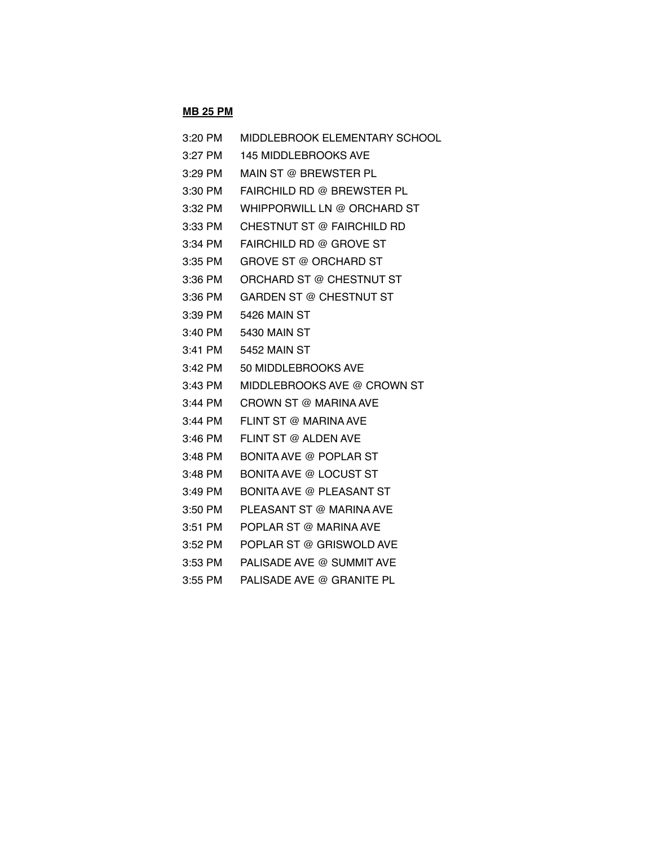# **MB 25 PM**

| 3:20 PM   | MIDDLEBROOK ELEMENTARY SCHOOL   |
|-----------|---------------------------------|
| 3:27 PM   | <b>145 MIDDLEBROOKS AVE</b>     |
| $3:29$ PM | MAIN ST @ BREWSTER PL           |
| $3:30$ PM | FAIRCHILD RD @ BREWSTER PL      |
| 3:32 PM   | WHIPPORWILL LN @ ORCHARD ST     |
| $3:33$ PM | CHESTNUT ST @ FAIRCHILD RD      |
| $3:34$ PM | FAIRCHILD RD @ GROVE ST         |
| 3:35 PM   | <b>GROVE ST @ ORCHARD ST</b>    |
| 3:36 PM   | ORCHARD ST @ CHESTNUT ST        |
| $3:36$ PM | GARDEN ST @ CHESTNUT ST         |
| $3:39$ PM | 5426 MAIN ST                    |
| 3:40 PM   | 5430 MAIN ST                    |
| $3:41$ PM | <b>5452 MAIN ST</b>             |
| 3:42 PM   | 50 MIDDLEBROOKS AVE             |
| 3:43 PM   | MIDDLEBROOKS AVE @ CROWN ST     |
| $3:44$ PM | CROWN ST @ MARINA AVE           |
| 3:44 PM   | FLINT ST @ MARINA AVE           |
| $3:46$ PM | FLINT ST @ ALDEN AVE            |
| $3:48$ PM | <b>BONITA AVE @ POPLAR ST</b>   |
| $3:48$ PM | <b>BONITA AVE @ LOCUST ST</b>   |
| $3:49$ PM | <b>BONITA AVE @ PLEASANT ST</b> |
| 3:50 PM   | PLEASANT ST @ MARINA AVE        |
| $3:51$ PM | POPLAR ST @ MARINA AVE          |
| 3:52 PM   | POPLAR ST @ GRISWOLD AVE        |
| $3:53$ PM | PALISADE AVE @ SUMMIT AVE       |
| $3:55$ PM | PALISADE AVE @ GRANITE PL       |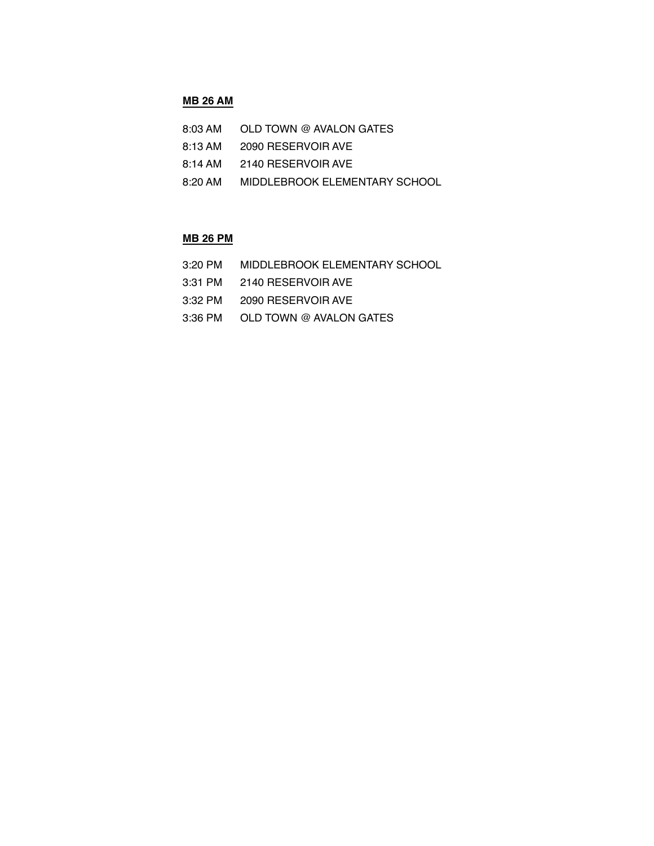### **MB 26 AM**

- 8:13 AM 2090 RESERVOIR AVE
- 8:14 AM 2140 RESERVOIR AVE
- 8:20 AM MIDDLEBROOK ELEMENTARY SCHOOL

#### **MB 26 PM**

- 3:20 PM MIDDLEBROOK ELEMENTARY SCHOOL
- 3:31 PM 2140 RESERVOIR AVE
- 3:32 PM 2090 RESERVOIR AVE
- 3:36 PM OLD TOWN @ AVALON GATES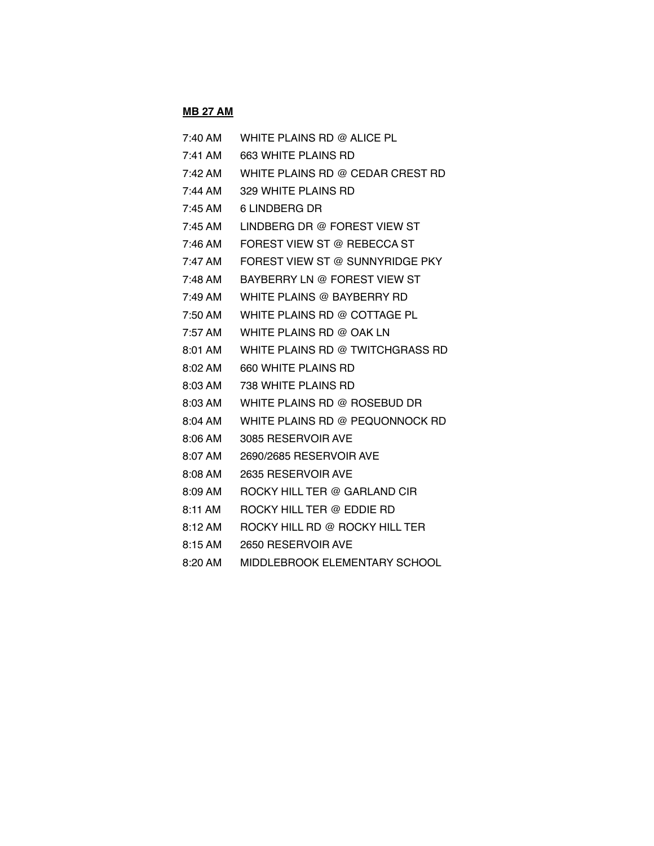# **MB 27 AM**

| $7:40$ AM         | WHITE PLAINS RD @ ALICE PL       |
|-------------------|----------------------------------|
| $7:41$ AM         | 663 WHITE PLAINS RD              |
| $7:42 \text{ AM}$ | WHITE PLAINS RD @ CEDAR CREST RD |
| 7:44 AM           | 329 WHITE PLAINS RD              |
| $7:45$ AM         | 6 LINDBERG DR                    |
| $7:45$ AM         | LINDBERG DR @ FOREST VIEW ST     |
| 7:46 AM           | FOREST VIEW ST @ REBECCA ST      |
| 7:47 AM           | FOREST VIEW ST @ SUNNYRIDGE PKY  |
| 7:48 AM           | BAYBERRY LN @ FOREST VIEW ST     |
| 7:49 AM           | WHITE PLAINS @ BAYBERRY RD       |
| 7:50 AM           | WHITE PLAINS RD @ COTTAGE PL     |
| 7:57 AM           | WHITE PLAINS RD @ OAK LN         |
| $8:01$ AM         | WHITE PLAINS RD @ TWITCHGRASS RD |
| $8:02$ AM         | 660 WHITE PLAINS RD              |
| 8:03 AM           | 738 WHITE PLAINS RD              |
| 8:03 AM           | WHITE PLAINS RD @ ROSEBUD DR     |
| $8:04$ AM         | WHITE PLAINS RD @ PEQUONNOCK RD  |
| 8:06 AM           | 3085 RESERVOIR AVE               |
| $8:07$ AM         | 2690/2685 RESERVOIR AVE          |
| $8:08$ AM         | 2635 RESERVOIR AVE               |
| 8:09 AM           | ROCKY HILL TER @ GARLAND CIR     |
| 8:11 AM           | ROCKY HILL TER @ EDDIE RD        |
| $8:12 \text{ AM}$ | ROCKY HILL RD @ ROCKY HILL TER   |
| 8:15 AM           | 2650 RESERVOIR AVE               |
| $8:20$ AM         | MIDDLEBROOK ELEMENTARY SCHOOL    |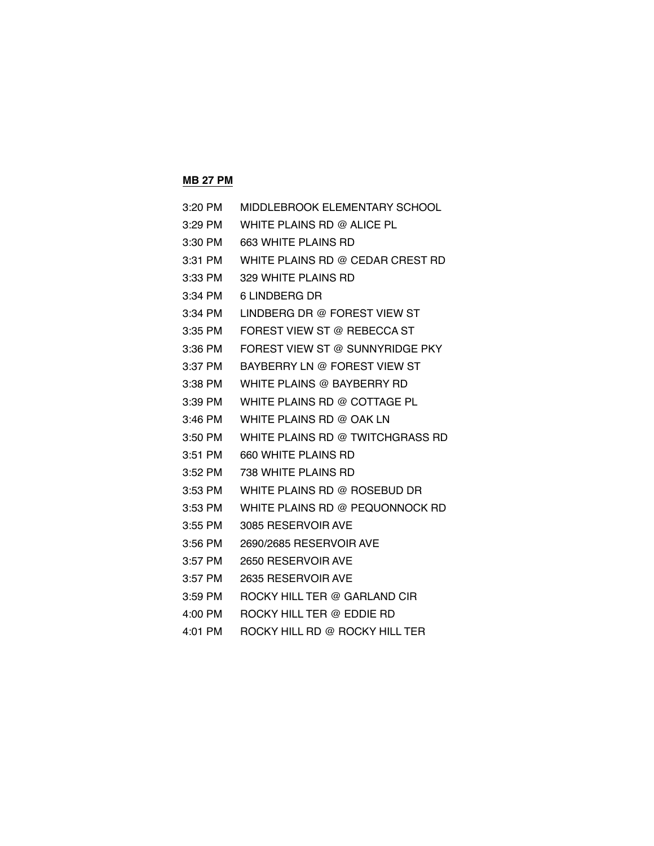# **MB 27 PM**

| 3:20 PM   | MIDDLEBROOK ELEMENTARY SCHOOL    |
|-----------|----------------------------------|
| 3:29 PM   | WHITE PLAINS RD @ ALICE PL       |
| 3:30 PM   | 663 WHITE PLAINS RD              |
| 3:31 PM   | WHITE PLAINS RD @ CEDAR CREST RD |
| 3:33 PM   | 329 WHITE PLAINS RD              |
| 3:34 PM   | 6 LINDBERG DR                    |
| 3:34 PM   | LINDBERG DR @ FOREST VIEW ST     |
| 3:35 PM   | FOREST VIEW ST @ REBECCA ST      |
| 3:36 PM   | FOREST VIEW ST @ SUNNYRIDGE PKY  |
| 3:37 PM   | BAYBERRY LN @ FOREST VIEW ST     |
| 3:38 PM   | WHITE PLAINS @ BAYBERRY RD       |
| $3:39$ PM | WHITE PLAINS RD @ COTTAGE PL     |
| $3:46$ PM | WHITE PLAINS RD @ OAK LN         |
| 3:50 PM   | WHITE PLAINS RD @ TWITCHGRASS RD |
| 3:51 PM   | 660 WHITE PLAINS RD              |
| 3:52 PM   | 738 WHITE PLAINS RD              |
| $3:53$ PM | WHITE PLAINS RD @ ROSEBUD DR     |
| 3:53 PM   | WHITE PLAINS RD @ PEQUONNOCK RD  |
| $3:55$ PM | 3085 RESERVOIR AVE               |
| $3:56$ PM | 2690/2685 RESERVOIR AVE          |
| $3:57$ PM | 2650 RESERVOIR AVE               |
| 3:57 PM   | 2635 RESERVOIR AVE               |
| $3:59$ PM | ROCKY HILL TER @ GARLAND CIR     |
| 4:00 PM   | ROCKY HILL TER @ EDDIE RD        |
| 4:01 PM   | ROCKY HILL RD @ ROCKY HILL TER   |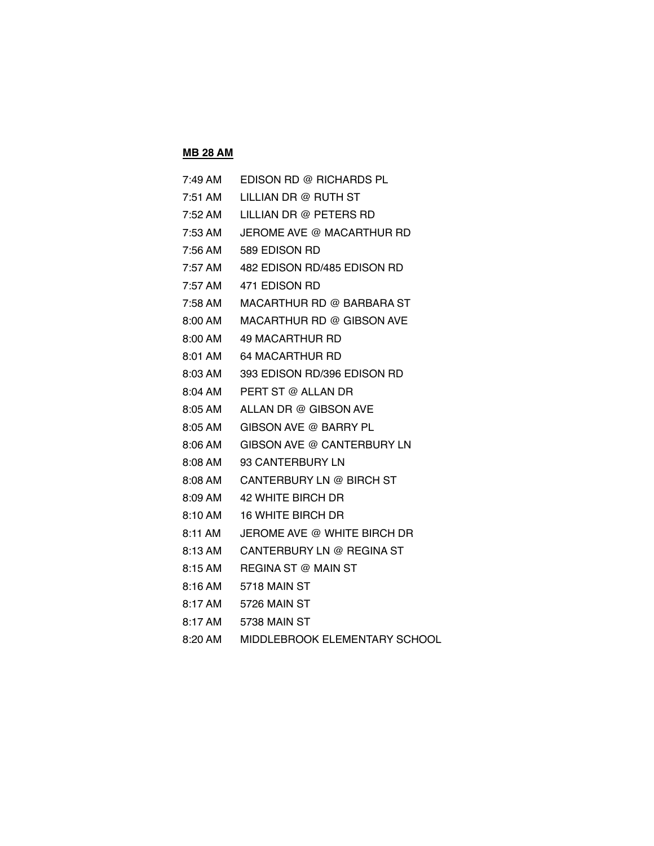#### **MB 28 AM**

| $7:49 \text{ AM}$ | EDISON RD @ RICHARDS PL     |
|-------------------|-----------------------------|
| 7:51 AM           | LILLIAN DR @ RUTH ST        |
| 7:52 AM           | LILLIAN DR @ PETERS RD      |
| 7:53 AM           | JEROME AVE @ MACARTHUR RD   |
| 7:56 AM           | 589 EDISON RD               |
| 7:57 AM           | 482 EDISON RD/485 EDISON RD |
| $7:57 \text{ AM}$ | 471 EDISON RD               |
| 7:58 AM           | MACARTHUR RD @ BARBARA ST   |
| $8:00 \text{ AM}$ | MACARTHUR RD @ GIBSON AVE   |
| 8:00 AM           | 49 MACARTHUR RD             |
| 8:01 AM           | <b>64 MACARTHUR RD</b>      |
| $8:03 \text{ AM}$ | 393 EDISON RD/396 EDISON RD |
| 8:04 AM           | PERT ST @ ALLAN DR          |
| 8:05 AM           | ALLAN DR @ GIBSON AVE       |
| 8:05 AM           | GIBSON AVE @ BARRY PL       |
| $8:06 \text{ AM}$ | GIBSON AVE @ CANTERBURY LN  |
| 8:08 AM           | 93 CANTERBURY LN            |
| $8:08 \text{ AM}$ | CANTERBURY LN @ BIRCH ST    |
| 8:09 AM           | 42 WHITE BIRCH DR           |
| 8:10 AM           | <b>16 WHITE BIRCH DR</b>    |
| 8:11 AM           | JEROME AVE @ WHITE BIRCH DR |
| 8:13 AM           | CANTERBURY LN @ REGINA ST   |
| 8:15 AM           | REGINA ST @ MAIN ST         |
| 8:16 AM           | 5718 MAIN ST                |
| 8:17 AM           | 5726 MAIN ST                |
| 8:17 AM           | 5738 MAIN ST                |
|                   |                             |

8:20 AM MIDDLEBROOK ELEMENTARY SCHOOL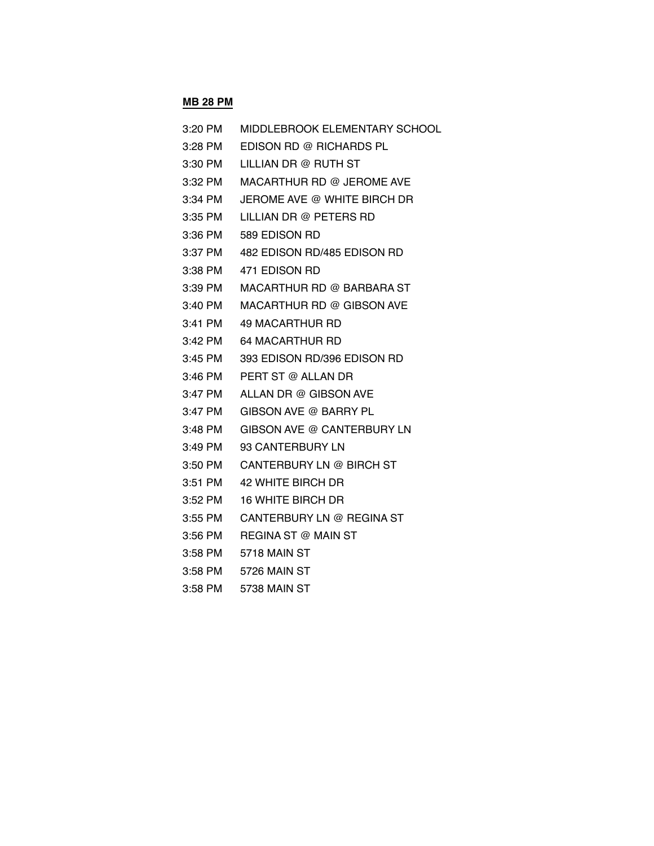#### **MB 28 PM**

| 3:20 PM   | MIDDLEBROOK ELEMENTARY SCHOOL |
|-----------|-------------------------------|
| 3:28 PM   | EDISON RD @ RICHARDS PL       |
| 3:30 PM   | LILLIAN DR @ RUTH ST          |
| 3:32 PM   | MACARTHUR RD @ JEROME AVE     |
| 3:34 PM   | JEROME AVE @ WHITE BIRCH DR   |
| 3:35 PM   | LILLIAN DR @ PETERS RD        |
| 3:36 PM   | 589 EDISON RD                 |
| 3:37 PM   | 482 EDISON RD/485 EDISON RD   |
| 3:38 PM   | 471 EDISON RD                 |
| 3:39 PM   | MACARTHUR RD @ BARBARA ST     |
| 3:40 PM   | MACARTHUR RD @ GIBSON AVE     |
| $3:41$ PM | 49 MACARTHUR RD               |
| 3:42 PM   | <b>64 MACARTHUR RD</b>        |
| $3:45$ PM | 393 EDISON RD/396 EDISON RD   |
| 3:46 PM   | PERT ST @ ALLAN DR            |
| 3:47 PM   | ALLAN DR @ GIBSON AVE         |
| $3:47$ PM | GIBSON AVE @ BARRY PL         |
| $3:48$ PM | GIBSON AVE @ CANTERBURY LN    |
| 3:49 PM   | 93 CANTERBURY LN              |
| $3:50$ PM | CANTERBURY LN @ BIRCH ST      |
| $3:51$ PM | 42 WHITE BIRCH DR             |
| 3:52 PM   | <b>16 WHITE BIRCH DR</b>      |
| $3:55$ PM | CANTERBURY LN @ REGINA ST     |
| 3:56 PM   | <b>REGINA ST @ MAIN ST</b>    |
| 3:58 PM   | 5718 MAIN ST                  |
| $3:58$ PM | 5726 MAIN ST                  |
| $0.50$ DM | $F700$ MAINI $\cap T$         |

3:58 PM 5738 MAIN ST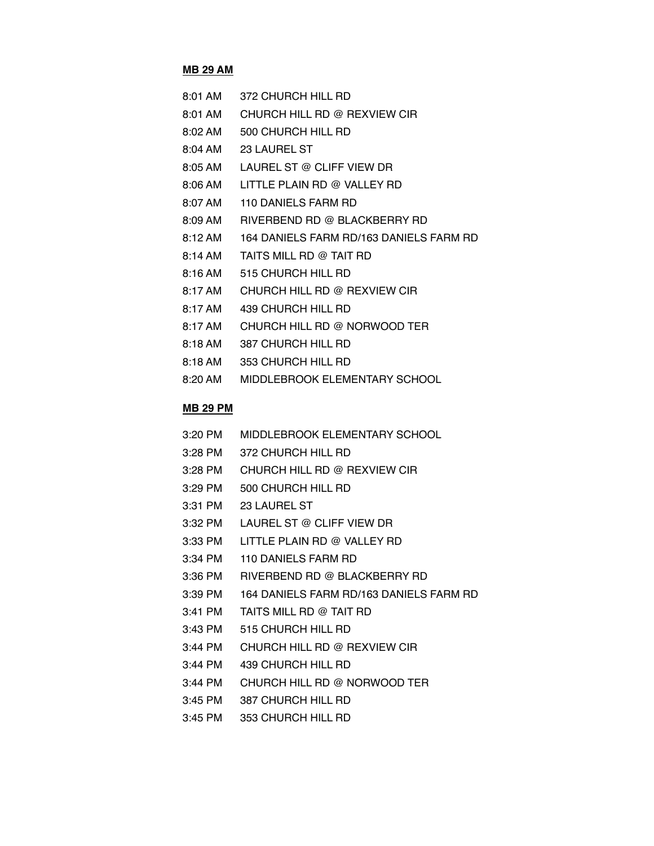# **MB 29 AM**

| $8:01$ AM           | 372 CHURCH HILL RD                      |
|---------------------|-----------------------------------------|
| $8:01$ AM           | CHURCH HILL RD @ REXVIEW CIR            |
| $8:02 \, \text{AM}$ | 500 CHURCH HILL RD                      |
| $8:04 \, \text{AM}$ | <b>23 LAUREL ST</b>                     |
| 8:05 AM             | LAUREL ST @ CLIFF VIEW DR               |
| 8:06 AM             | LITTLE PLAIN RD @ VALLEY RD             |
| 8:07 AM             | 110 DANIELS FARM RD                     |
| 8:09 AM             | RIVERBEND RD @ BLACKBERRY RD            |
| 8:12 AM             | 164 DANIELS FARM RD/163 DANIELS FARM RD |
| $8:14 \text{ AM}$   | TAITS MILL RD @ TAIT RD                 |
| $8:16 \text{ AM}$   | 515 CHURCH HILL RD                      |
| 8:17 AM             | CHURCH HILL RD @ REXVIEW CIR            |
| 8:17 AM             | 439 CHURCH HILL RD                      |
| 8:17 AM             | CHURCH HILL RD @ NORWOOD TER            |
| $8:18 \text{ AM}$   | 387 CHURCH HILL RD                      |
| 8:18 AM             | 353 CHURCH HILL RD                      |
| $8:20 \text{ AM}$   | MIDDLEBROOK ELEMENTARY SCHOOL           |

### **MB 29 PM**

| 3:20 PM   | MIDDLEBROOK ELEMENTARY SCHOOL           |
|-----------|-----------------------------------------|
| $3:28$ PM | 372 CHURCH HILL RD                      |
| $3:28$ PM | CHURCH HILL RD @ REXVIEW CIR            |
| $3:29$ PM | 500 CHURCH HILL RD                      |
| $3:31$ PM | <b>23 LAUREL ST</b>                     |
| 3:32 PM   | LAUREL ST @ CLIFF VIEW DR               |
| 3:33 PM   | LITTLE PLAIN RD @ VALLEY RD             |
| $3:34$ PM | 110 DANIELS FARM RD                     |
| $3:36$ PM | RIVERBEND RD @ BLACKBERRY RD            |
| $3:39$ PM | 164 DANIELS FARM RD/163 DANIELS FARM RD |
| $3:41$ PM | TAITS MILL RD @ TAIT RD                 |
| $3:43$ PM | 515 CHURCH HILL RD                      |
| $3:44$ PM | CHURCH HILL RD @ REXVIEW CIR            |
| $3:44$ PM | 439 CHURCH HILL RD                      |
| $3:44$ PM | CHURCH HILL RD @ NORWOOD TER            |
| $3:45$ PM | 387 CHURCH HILL RD                      |
| $3:45$ PM | 353 CHURCH HILL RD                      |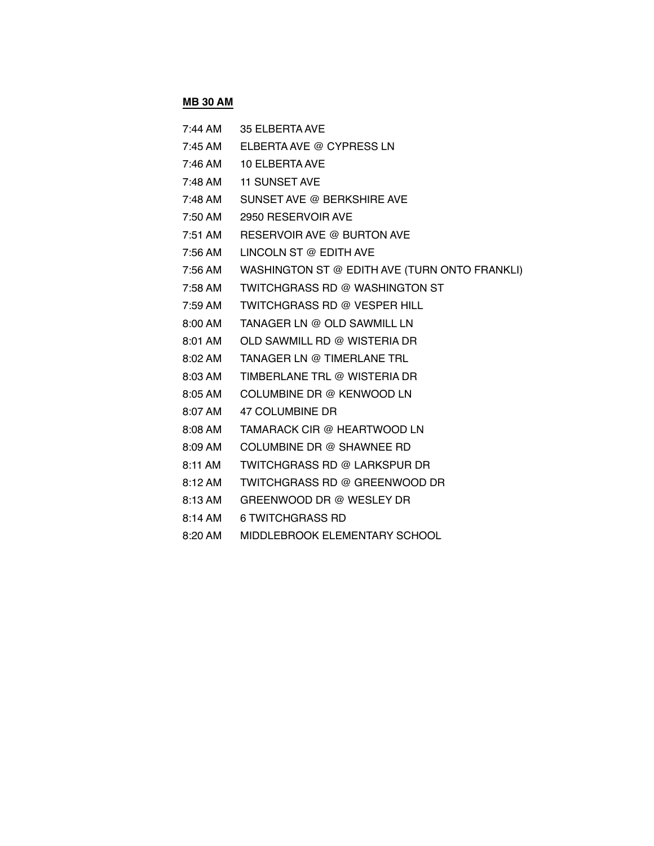# **MB 30 AM**

| $7:44$ AM           | <b>35 ELBERTA AVE</b>                         |
|---------------------|-----------------------------------------------|
| $7:45 \text{ AM}$   | ELBERTA AVE @ CYPRESS LN                      |
| 7:46 AM             | 10 ELBERTA AVE                                |
| 7:48 AM             | <b>11 SUNSET AVE</b>                          |
| $7:48 \text{ AM}$   | SUNSET AVE @ BERKSHIRE AVE                    |
| 7:50 AM             | 2950 RESERVOIR AVE                            |
| $7:51$ AM           | RESERVOIR AVE @ BURTON AVE                    |
| 7:56 AM             | LINCOLN ST @ EDITH AVE                        |
| 7:56 AM             | WASHINGTON ST @ EDITH AVE (TURN ONTO FRANKLI) |
| 7:58 AM             | <b>TWITCHGRASS RD @ WASHINGTON ST</b>         |
| 7:59 AM             | <b>TWITCHGRASS RD @ VESPER HILL</b>           |
| 8:00 AM             | TANAGER LN @ OLD SAWMILL LN                   |
| 8:01 AM             | OLD SAWMILL RD @ WISTERIA DR                  |
| $8:02 \, \text{AM}$ | TANAGER LN @ TIMERLANE TRL                    |
| $8:03 \, \text{AM}$ | TIMBERLANE TRL @ WISTERIA DR                  |
| 8:05 AM             | COLUMBINE DR @ KENWOOD LN                     |
| 8:07 AM             | 47 COLUMBINE DR                               |
| $8:08 \, \text{AM}$ | TAMARACK CIR @ HEARTWOOD LN                   |
| 8:09 AM             | COLUMBINE DR @ SHAWNEE RD                     |
| $8:11$ AM           | TWITCHGRASS RD @ LARKSPUR DR                  |
| $8:12 \text{ AM}$   | TWITCHGRASS RD @ GREENWOOD DR                 |
| $8:13 \text{ AM}$   | GREENWOOD DR @ WESLEY DR                      |
| $8:14$ AM           | <b>6 TWITCHGRASS RD</b>                       |

8:20 AM MIDDLEBROOK ELEMENTARY SCHOOL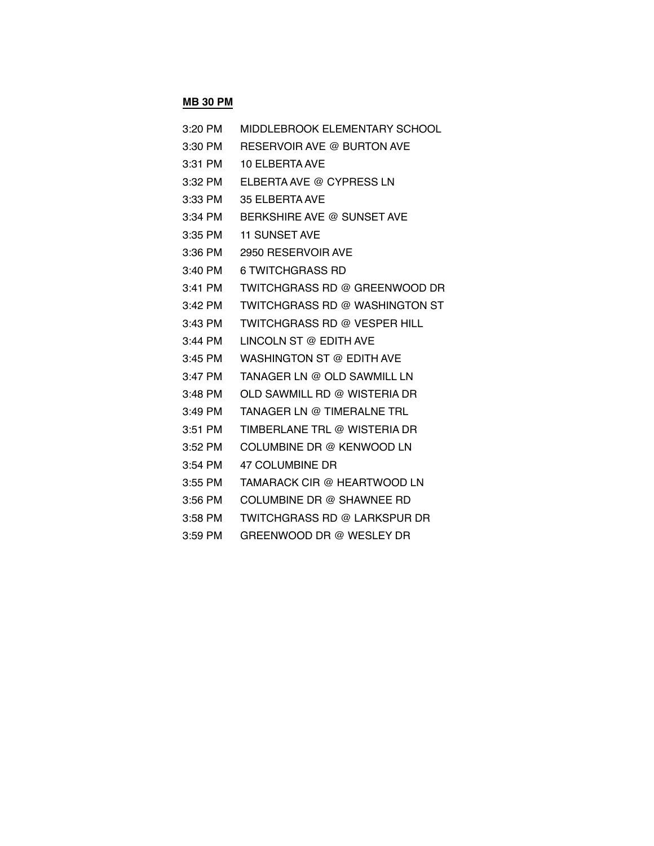# **MB 30 PM**

| 3:20 PM   | MIDDLEBROOK ELEMENTARY SCHOOL         |
|-----------|---------------------------------------|
| 3:30 PM   | RESERVOIR AVE @ BURTON AVE            |
| $3:31$ PM | 10 ELBERTA AVE                        |
| 3:32 PM   | ELBERTA AVE @ CYPRESS LN              |
| 3:33 PM   | <b>35 ELBERTA AVE</b>                 |
| 3:34 PM   | BERKSHIRE AVE @ SUNSET AVE            |
| 3:35 PM   | <b>11 SUNSET AVE</b>                  |
| 3:36 PM   | 2950 RESERVOIR AVE                    |
| 3:40 PM   | 6 TWITCHGRASS RD                      |
| 3:41 PM   | TWITCHGRASS RD @ GREENWOOD DR         |
| 3:42 PM   | <b>TWITCHGRASS RD @ WASHINGTON ST</b> |
| $3:43$ PM | TWITCHGRASS RD @ VESPER HILL          |
| $3:44$ PM | LINCOLN ST @ EDITH AVE                |
| $3:45$ PM | WASHINGTON ST @ EDITH AVE             |
| 3:47 PM   | TANAGER LN @ OLD SAWMILL LN           |
| 3:48 PM   | OLD SAWMILL RD @ WISTERIA DR          |
| 3:49 PM   | TANAGER LN @ TIMERALNE TRL            |
| $3:51$ PM | TIMBERLANE TRL @ WISTERIA DR          |
| $3:52$ PM | COLUMBINE DR @ KENWOOD LN             |
| 3:54 PM   | 47 COLUMBINE DR                       |
| $3:55$ PM | TAMARACK CIR @ HEARTWOOD LN           |
| $3:56$ PM | COLUMBINE DR @ SHAWNEE RD             |
| $3:58$ PM | TWITCHGRASS RD @ LARKSPUR DR          |
| 3:59 PM   | GREENWOOD DR @ WESLEY DR              |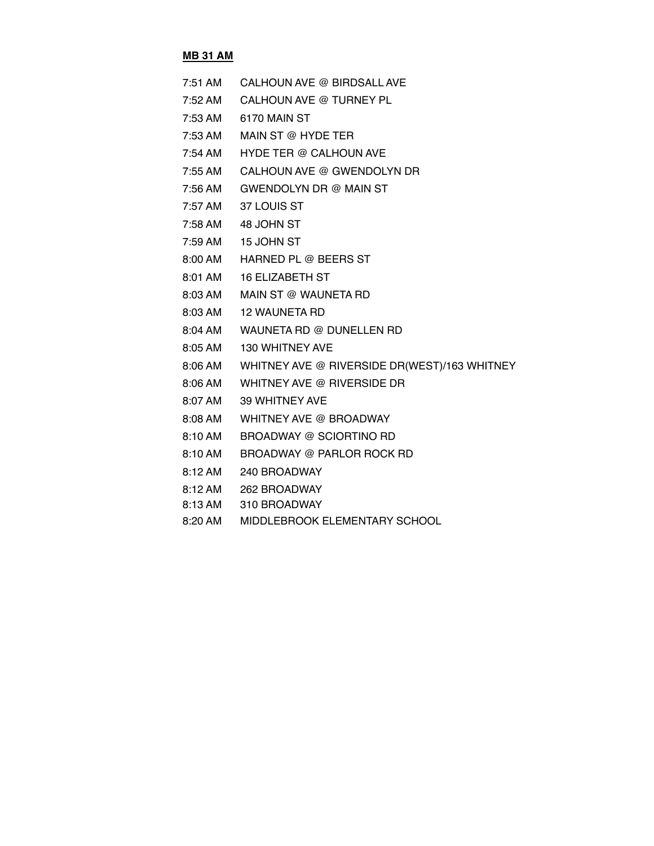### **MB 31 AM**

| 7:51 AM | CALHOUN AVE @ BIRDSALL AVE                           |
|---------|------------------------------------------------------|
| 7:52 AM | CALHOUN AVE @ TURNEY PL                              |
| 7:53 AM | 6170 MAIN ST                                         |
| 7:53 AM | MAIN ST @ HYDE TER                                   |
| 7:54 AM | <b>HYDE TER @ CALHOUN AVE</b>                        |
| 7:55 AM | CALHOUN AVE @ GWENDOLYN DR                           |
|         | 7:56 AM GWENDOLYN DR @ MAIN ST                       |
| 7:57 AM | 37 LOUIS ST                                          |
|         | 7:58 AM 48 JOHN ST                                   |
|         | 7:59 AM 15 JOHN ST                                   |
|         | 8:00 AM HARNED PL @ BEERS ST                         |
|         | 8:01 AM 16 ELIZABETH ST                              |
|         | 8:03 AM MAIN ST @ WAUNETA RD                         |
|         | 8:03 AM 12 WAUNETA RD                                |
|         | 8:04 AM WAUNETA RD @ DUNELLEN RD                     |
|         | 8:05 AM 130 WHITNEY AVE                              |
|         | 8:06 AM WHITNEY AVE @ RIVERSIDE DR(WEST)/163 WHITNEY |
|         | 8:06 AM WHITNEY AVE @ RIVERSIDE DR                   |
| 8:07 AM | 39 WHITNEY AVE                                       |
|         | 8:08 AM WHITNEY AVE @ BROADWAY                       |
| 8:10 AM | BROADWAY @ SCIORTINO RD                              |
| 8:10 AM | BROADWAY @ PARLOR ROCK RD                            |
|         | 8:12 AM 240 BROADWAY                                 |
|         |                                                      |

- 8:12 AM 262 BROADWAY 8:13 AM 310 BROADWAY
- 
- 8:20 AM MIDDLEBROOK ELEMENTARY SCHOOL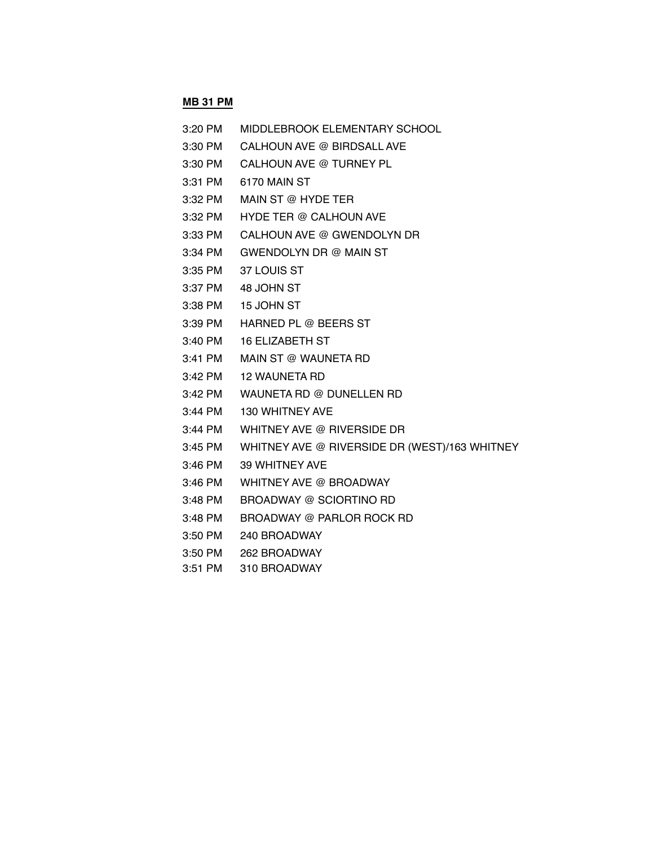# **MB 31 PM**

| 3:20 PM   | MIDDLEBROOK ELEMENTARY SCHOOL                 |
|-----------|-----------------------------------------------|
| 3:30 PM   | CALHOUN AVE @ BIRDSALL AVE                    |
| 3:30 PM   | CALHOUN AVE @ TURNEY PL                       |
| 3:31 PM   | 6170 MAIN ST                                  |
| 3:32 PM   | MAIN ST @ HYDE TER                            |
| 3:32 PM   | <b>HYDE TER @ CALHOUN AVE</b>                 |
| 3:33 PM   | CALHOUN AVE @ GWENDOLYN DR                    |
| 3:34 PM   | GWENDOLYN DR @ MAIN ST                        |
| 3:35 PM   | 37 LOUIS ST                                   |
|           | 3:37 PM 48 JOHN ST                            |
| 3:38 PM   | 15 JOHN ST                                    |
| 3:39 PM   | <b>HARNED PL @ BEERS ST</b>                   |
| 3:40 PM   | <b>16 ELIZABETH ST</b>                        |
| 3:41 PM   | MAIN ST @ WAUNETA RD                          |
| 3:42 PM   | <b>12 WAUNETA RD</b>                          |
| 3:42 PM   | WAUNETA RD @ DUNELLEN RD                      |
| 3:44 PM   | 130 WHITNEY AVE                               |
| 3:44 PM   | WHITNEY AVE @ RIVERSIDE DR                    |
| 3:45 PM   | WHITNEY AVE @ RIVERSIDE DR (WEST)/163 WHITNEY |
| 3:46 PM   | 39 WHITNEY AVE                                |
| $3:46$ PM | WHITNEY AVE @ BROADWAY                        |
| 3:48 PM   | BROADWAY @ SCIORTINO RD                       |
| 3:48 PM   | <b>BROADWAY @ PARLOR ROCK RD</b>              |
| $3:50$ PM | 240 BROADWAY                                  |

- 3:50 PM 262 BROADWAY
- 3:51 PM 310 BROADWAY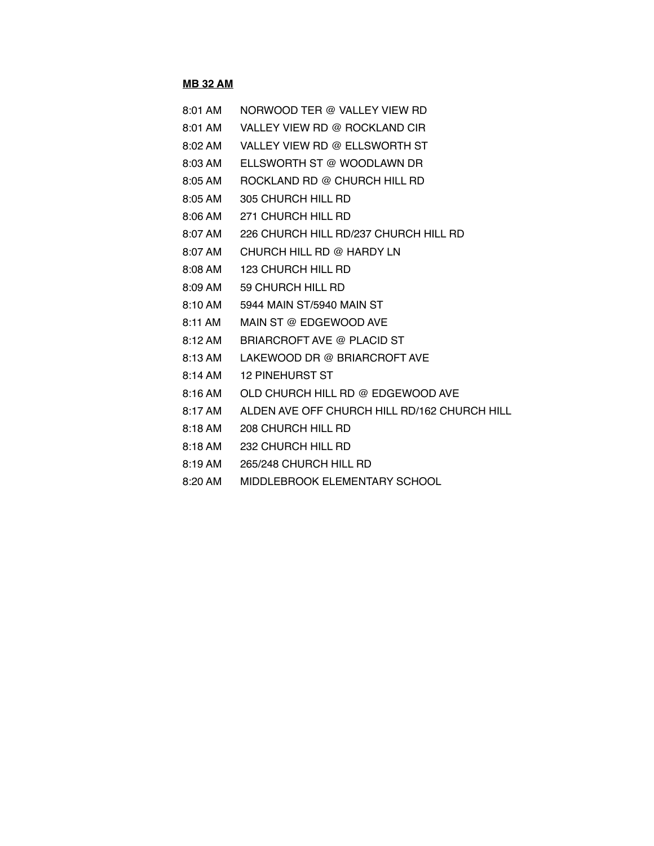#### **MB 32 AM**

- 8:01 AM VALLEY VIEW RD @ ROCKLAND CIR
- 8:02 AM VALLEY VIEW RD @ ELLSWORTH ST
- 8:03 AM ELLSWORTH ST @ WOODLAWN DR
- 8:05 AM ROCKLAND RD @ CHURCH HILL RD
- 8:05 AM 305 CHURCH HILL RD
- 8:06 AM 271 CHURCH HILL RD
- 8:07 AM 226 CHURCH HILL RD/237 CHURCH HILL RD
- 8:07 AM CHURCH HILL RD @ HARDY LN
- 8:08 AM 123 CHURCH HILL RD
- 8:09 AM 59 CHURCH HILL RD
- 8:10 AM 5944 MAIN ST/5940 MAIN ST
- 8:11 AM MAIN ST @ EDGEWOOD AVE
- 8:12 AM BRIARCROFT AVE @ PLACID ST
- 8:13 AM LAKEWOOD DR @ BRIARCROFT AVE
- 8:14 AM 12 PINEHURST ST
- 8:16 AM OLD CHURCH HILL RD @ EDGEWOOD AVE
- 8:17 AM ALDEN AVE OFF CHURCH HILL RD/162 CHURCH HILL
- 8:18 AM 208 CHURCH HILL RD
- 8:18 AM 232 CHURCH HILL RD
- 8:19 AM 265/248 CHURCH HILL RD
- 8:20 AM MIDDLEBROOK ELEMENTARY SCHOOL